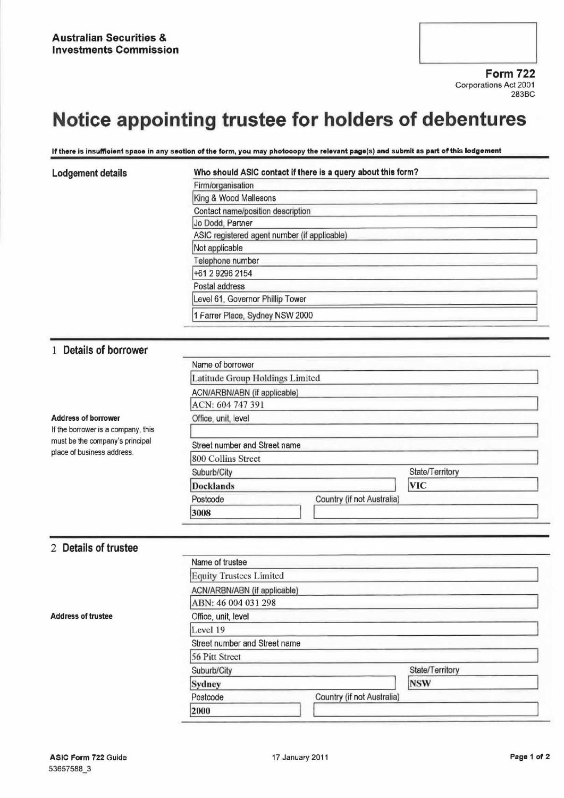

Corporations Act 2001 283BC

# Notice appointing trustee for holders of debentures

#### If there is insufficient space in any section of the form, you may photocopy the relevant page(s) and submit as part of this lodgement

| Lodgement details | Who should ASIC contact if there is a query about this form? |  |
|-------------------|--------------------------------------------------------------|--|
|                   | Firm/organisation                                            |  |
|                   | King & Wood Mallesons                                        |  |
|                   | Contact name/position description                            |  |
|                   | Jo Dodd, Partner                                             |  |
|                   | ASIC registered agent number (if applicable)                 |  |
|                   | Not applicable                                               |  |
|                   | Telephone number                                             |  |
|                   | +61 2 9296 2154                                              |  |
|                   | Postal address                                               |  |
|                   | Level 61, Governor Phillip Tower                             |  |
|                   | 1 Farrer Place, Sydney NSW 2000                              |  |

### <sup>1</sup> Details of borrower

| <b>Address of borrower</b><br>If the borrower is a company, this<br>must be the company's principal<br>place of business address. | Name of borrower                |                            |                 |  |
|-----------------------------------------------------------------------------------------------------------------------------------|---------------------------------|----------------------------|-----------------|--|
|                                                                                                                                   | Latitude Group Holdings Limited |                            |                 |  |
|                                                                                                                                   | ACN/ARBN/ABN (if applicable)    |                            |                 |  |
|                                                                                                                                   | ACN: 604 747 391                |                            |                 |  |
|                                                                                                                                   | Office, unit, level             |                            |                 |  |
|                                                                                                                                   |                                 |                            |                 |  |
|                                                                                                                                   | Street number and Street name   |                            |                 |  |
|                                                                                                                                   | 800 Collins Street              |                            |                 |  |
|                                                                                                                                   | Suburb/City                     |                            | State/Territory |  |
|                                                                                                                                   | <b>Docklands</b>                |                            | <b>VIC</b>      |  |
|                                                                                                                                   | Postcode                        | Country (if not Australia) |                 |  |
|                                                                                                                                   | 3008                            |                            |                 |  |

### 2 Details of trustee

|                           | Name of trustee                |                            |                 |  |
|---------------------------|--------------------------------|----------------------------|-----------------|--|
|                           | <b>Equity Trustees Limited</b> |                            |                 |  |
|                           | ACN/ARBN/ABN (if applicable)   |                            |                 |  |
|                           | ABN: 46 004 031 298            |                            |                 |  |
| <b>Address of trustee</b> | Office, unit, level            |                            |                 |  |
|                           | Level 19                       |                            |                 |  |
|                           | Street number and Street name  |                            |                 |  |
|                           | 56 Pitt Street                 |                            |                 |  |
|                           | Suburb/City                    |                            | State/Territory |  |
|                           | Sydney                         |                            | <b>NSW</b>      |  |
|                           | Postcode                       | Country (if not Australia) |                 |  |
|                           | 2000                           |                            |                 |  |
|                           |                                |                            |                 |  |